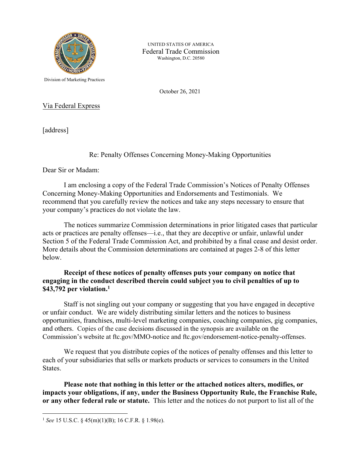

 Washington, D.C. 20580 UNITED STATES OF AMERICA Federal Trade Commission

Division of Marketing Practices

October 26, 2021

Via Federal Express

[address]

# Re: Penalty Offenses Concerning Money-Making Opportunities

Dear Sir or Madam:

I am enclosing a copy of the Federal Trade Commission's Notices of Penalty Offenses Concerning Money-Making Opportunities and Endorsements and Testimonials. We recommend that you carefully review the notices and take any steps necessary to ensure that your company's practices do not violate the law.

The notices summarize Commission determinations in prior litigated cases that particular acts or practices are penalty offenses—i.e., that they are deceptive or unfair, unlawful under Section 5 of the Federal Trade Commission Act, and prohibited by a final cease and desist order. More details about the Commission determinations are contained at pages 2-8 of this letter below.

### **Receipt of these notices of penalty offenses puts your company on notice that engaging in the conduct described therein could subject you to civil penalties of up to \$43,792 per violation.1**

Staff is not singling out your company or suggesting that you have engaged in deceptive or unfair conduct. We are widely distributing similar letters and the notices to business opportunities, franchises, multi-level marketing companies, coaching companies, gig companies, and others. Copies of the case decisions discussed in the synopsis are available on the Commission's website at [ftc.gov/MMO-notice](https://ftc.gov/MMO-notice) and [ftc.gov/endorsement-notice-penalty-offenses](https://ftc.gov/endorsement-notice-penalty-offenses).

We request that you distribute copies of the notices of penalty offenses and this letter to each of your subsidiaries that sells or markets products or services to consumers in the United States.

**Please note that nothing in this letter or the attached notices alters, modifies, or impacts your obligations, if any, under the Business Opportunity Rule, the Franchise Rule, or any other federal rule or statute.** This letter and the notices do not purport to list all of the

 1 *See* 15 U.S.C. § 45(m)(1)(B); 16 C.F.R. § 1.98(e).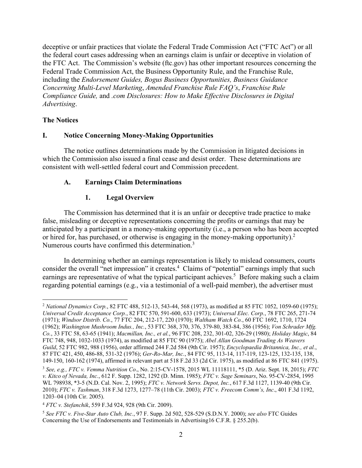the FTC Act. The Commission's website (ftc.gov) has other important resources concerning the deceptive or unfair practices that violate the Federal Trade Commission Act ("FTC Act") or all the federal court cases addressing when an earnings claim is unfair or deceptive in violation of Federal Trade Commission Act, the Business Opportunity Rule, and the Franchise Rule, including the *Endorsement Guides, Bogus Business Opportunities, Business Guidance Concerning Multi-Level Marketing*, *Amended Franchise Rule FAQ's*, *Franchise Rule Compliance Guide,* and *.com Disclosures: How to Make Effective Disclosures in Digital Advertising*.

#### **The Notices**

#### **I. Notice Concerning Money-Making Opportunities**

The notice outlines determinations made by the Commission in litigated decisions in which the Commission also issued a final cease and desist order. These determinations are consistent with well-settled federal court and Commission precedent.

#### **A. Earnings Claim Determinations**

#### **1. Legal Overview**

or hired for, has purchased, or otherwise is engaging in the money-making opportunity). $2$ Numerous courts have confirmed this determination.<sup>3</sup> The Commission has determined that it is an unfair or deceptive trade practice to make false, misleading or deceptive representations concerning the profits or earnings that may be anticipated by a participant in a money-making opportunity (i.e., a person who has been accepted

In determining whether an earnings representation is likely to mislead consumers, courts consider the overall "net impression" it creates.<sup>4</sup> Claims of "potential" earnings imply that such earnings are representative of what the typical participant achieves.<sup>5</sup> Before making such a claim regarding potential earnings (e.g., via a testimonial of a well-paid member), the advertiser must

 *Universal Credit Acceptance Corp.*, 82 FTC 570, 591-600, 633 (1973); *Universal Elec. Corp.*, 78 FTC 265, 271-74 *Guild*, 52 FTC 982, 988 (1956), order affirmed 244 F.2d 584 (9th Cir. 1957); *Encyclopaedia Britannica, Inc., et al.*, 149-150, 160-162 (1974), affirmed in relevant part at 518 F.2d 33 (2d Cir. 1975), as modified at 86 FTC 841 (1975). <sup>2</sup>*National Dynamics Corp.*, 82 FTC 488, 512-13, 543-44, 568 (1973), as modified at 85 FTC 1052, 1059-60 (1975); (1971); *Windsor Distrib. Co.*, 77 FTC 204, 212-17, 220 (1970); *Waltham Watch Co.*, 60 FTC 1692, 1710, 1724 (1962); *Washington Mushroom Indus., Inc.*, 53 FTC 368, 370, 376, 379-80, 383-84, 386 (1956); *Von Schrader Mfg. Co.*, 33 FTC 58, 63-65 (1941); *Macmillan, Inc., et al.*, 96 FTC 208, 232, 301-02, 326-29 (1980); *Holiday Magic*, 84 FTC 748, 948, 1032-1033 (1974), as modified at 85 FTC 90 (1975); *Abel Allan Goodman Trading As Weavers*  87 FTC 421, 450, 486-88, 531-32 (1976); *Ger-Ro-Mar, Inc.*, 84 FTC 95, 113-14, 117-119, 123-125, 132-135, 138,

 WL 798938, \*3-5 (N.D. Cal. Nov. 2, 1995); *FTC v. Network Servs. Depot, Inc.*, 617 F.3d 1127, 1139-40 (9th Cir. <sup>3</sup>*See, e.g., FTC v. Vemma Nutrition Co*., No. 2:15-CV-1578, 2015 WL 11118111, \*5 (D. Ariz. Sept. 18, 2015); *FTC v. Kitco of Nevada, Inc.*, 612 F. Supp. 1282, 1292 (D. Minn. 1985); *FTC v. Sage Seminars*, No. 95-CV-2854, 1995 2010); *FTC v. Tashman*, 318 F.3d 1273, 1277–78 (11th Cir. 2003); *FTC v. Freecom Comm's, Inc*., 401 F.3d 1192, 1203–04 (10th Cir. 2005).

<sup>4</sup>*FTC v. Stefanchik*, 559 F.3d 924, 928 (9th Cir. 2009).

 <sup>5</sup>*See FTC v. Five-Star Auto Club, Inc.*, 97 F. Supp. 2d 502, 528-529 (S.D.N.Y. 2000); *see also* FTC Guides Concerning the Use of Endorsements and Testimonials in Advertising16 C.F.R. § 255.2(b).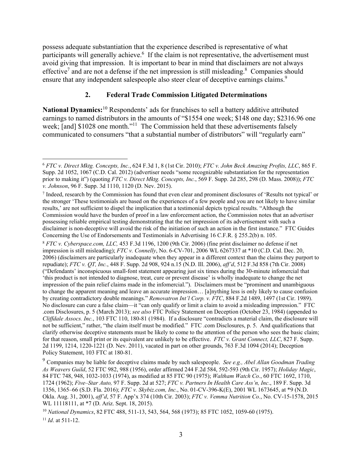possess adequate substantiation that the experience described is representative of what participants will generally achieve.<sup>6</sup> If the claim is not representative, the advertisement must avoid giving that impression. It is important to bear in mind that disclaimers are not always effective<sup>7</sup> and are not a defense if the net impression is still misleading.<sup>8</sup> Companies should ensure that any independent salespeople also steer clear of deceptive earnings claims.<sup>9</sup>

## **2. Federal Trade Commission Litigated Determinations**

**National Dynamics:**10 Respondents' ads for franchises to sell a battery additive attributed earnings to named distributors in the amounts of "\$1554 one week; \$148 one day; \$2316.96 one week; [and] \$1028 one month."<sup>11</sup> The Commission held that these advertisements falsely communicated to consumers "that a substantial number of distributors" will "regularly earn"

 <sup>6</sup>*FTC v. Direct Mktg. Concepts, Inc.*, 624 F.3d 1, 8 (1st Cir. 2010); *FTC v. John Beck Amazing Profits, LLC*, 865 F. Supp. 2d 1052, 1067 (C.D. Cal. 2012) (advertiser needs "some recognizable substantiation for the representation prior to making it") (quoting *FTC v. Direct Mktg. Concepts, Inc.*, 569 F. Supp. 2d 285, 298 (D. Mass. 2008)); *FTC v. Johnson*, 96 F. Supp. 3d 1110, 1120 (D. Nev. 2015).

 the stronger 'These testimonials are based on the experiences of a few people and you are not likely to have similar Commission would have the burden of proof in a law enforcement action, the Commission notes that an advertiser Concerning the Use of Endorsements and Testimonials in Advertising 16 C.F.R. § 255.2(b) n. 105. <sup>7</sup> Indeed, research by the Commission has found that even clear and prominent disclosures of 'Results not typical' or results,' are not sufficient to dispel the implication that a testimonial depicts typical results. "Although the possessing reliable empirical testing demonstrating that the net impression of its advertisement with such a disclaimer is non-deceptive will avoid the risk of the initiation of such an action in the first instance." FTC Guides

 impression is still misleading); *FTC v. Connelly*, No. 6-CV-701, 2006 WL 6267337 at \*10 (C.D. Cal. Dec. 20, repudiate); *FTC v. QT, Inc.*, 448 F. Supp. 2d 908, 924 n.15 (N.D. Ill. 2006), *aff'd*, 512 F.3d 858 (7th Cir. 2008) impression of the pain relief claims made in the infomercial."). Disclaimers must be "prominent and unambiguous Policy Statement, 103 FTC at 180-81. <sup>8</sup>*FTC v. [Cyberspace.com](https://Cyberspace.com), LLC,* 453 F.3d 1196, 1200 (9th Cir. 2006) (fine print disclaimer no defense if net 2006) (disclaimers are particularly inadequate when they appear in a different context than the claims they purport to ("Defendants' inconspicuous small-font statement appearing just six times during the 30-minute infomercial that 'this product is not intended to diagnose, treat, cure or prevent disease' is wholly inadequate to change the net to change the apparent meaning and leave an accurate impression… [a]nything less is only likely to cause confusion by creating contradictory double meanings." *Removatron Int'l Corp. v. FTC*, 884 F.2d 1489, 1497 (1st Cir. 1989). No disclosure can cure a false claim—it "can only qualify or limit a claim to avoid a misleading impression." FTC .com Disclosures, p. 5 (March 2013); *see also* FTC Policy Statement on Deception (October 23, 1984) (appended to *Cliffdale Assocs. Inc.*, 103 FTC 110, 180-81 (1984). If a disclosure "contradicts a material claim, the disclosure will not be sufficient," rather, "the claim itself must be modified." FTC .com Disclosures, p. 5. And qualifications that clarify otherwise deceptive statements must be likely to come to the attention of the person who sees the basic claim; for that reason, small print or its equivalent are unlikely to be effective. *FTC v. Grant Connect, LLC*, 827 F. Supp. 2d 1199, 1214, 1220-1221 (D. Nev. 2011), vacated in part on other grounds, 763 F.3d 1094 (2014); Deception

 *As Weavers Guild*, 52 FTC 982, 988 (1956), order affirmed 244 F.2d 584, 592-593 (9th Cir. 1957); *Holiday Magic*, 1724 (1962); *Five–Star Auto,* 97 F. Supp. 2d at 527; *FTC v. Partners In Health Care Ass'n, Inc*., 189 F. Supp. 3d 9 Companies may be liable for deceptive claims made by such salespeople. *See e.g., Abel Allan Goodman Trading*  84 FTC 748, 948, 1032-1033 (1974), as modified at 85 FTC 90 (1975); *Waltham Watch Co.*, 60 FTC 1692, 1710, 1356, 1365–66 (S.D. Fla. 2016); *FTC v. [Skybiz.com,](https://Skybiz.com) Inc.*, No. 01-CV-396-K(E), 2001 WL 1673645, at \*9 (N.D. Okla. Aug. 31, 2001), *aff'd*, 57 F. App'x 374 (10th Cir. 2003); *FTC v. Vemma Nutrition Co.*, No. CV-15-1578, 2015 WL 11118111, at \*7 (D. Ariz. Sept. 18, 2015).

 <sup>10</sup>*National Dynamics*, 82 FTC 488, 511-13, 543, 564, 568 (1973); 85 FTC 1052, 1059-60 (1975). <sup>11</sup>*Id*. at 511-12.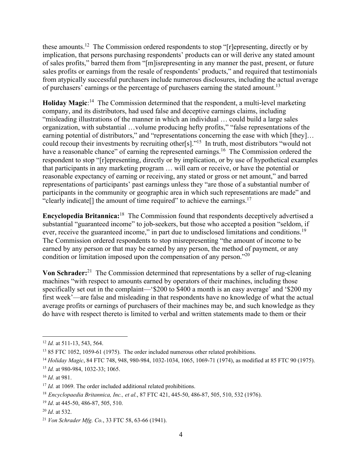of purchasers' earnings or the percentage of purchasers earning the stated amount.<sup>13</sup> these [amounts.12](https://amounts.12) The Commission ordered respondents to stop "[r]epresenting, directly or by implication, that persons purchasing respondents' products can or will derive any stated amount of sales profits," barred them from "[m]isrepresenting in any manner the past, present, or future sales profits or earnings from the resale of respondents' products," and required that testimonials from atypically successful purchasers include numerous disclosures, including the actual average

Holiday Magic:<sup>14</sup> The Commission determined that the respondent, a multi-level marketing company, and its distributors, had used false and deceptive earnings claims, including "misleading illustrations of the manner in which an individual … could build a large sales organization, with substantial …volume producing hefty profits," "false representations of the earning potential of distributors," and "representations concerning the ease with which [they]... could recoup their investments by recruiting other[s]."<sup>15</sup> In truth, most distributors "would not have a reasonable chance" of earning the represented earnings.<sup>16</sup> The Commission ordered the respondent to stop "[r]epresenting, directly or by implication, or by use of hypothetical examples that participants in any marketing program … will earn or receive, or have the potential or reasonable expectancy of earning or receiving, any stated or gross or net amount," and barred representations of participants' past earnings unless they "are those of a substantial number of participants in the community or geographic area in which such representations are made" and "clearly indicate $[$ ] the amount of time required" to achieve the earnings.<sup>17</sup>

ever, receive the guaranteed income," in part due to undisclosed limitations and conditions.<sup>19</sup> **Encyclopedia Britannica:**18 The Commission found that respondents deceptively advertised a substantial "guaranteed income" to job-seekers, but those who accepted a position "seldom, if The Commission ordered respondents to stop misrepresenting "the amount of income to be earned by any person or that may be earned by any person, the method of payment, or any condition or limitation imposed upon the compensation of any person."20

 **Von Schrader:**21 The Commission determined that representations by a seller of rug-cleaning machines "with respect to amounts earned by operators of their machines, including those specifically set out in the complaint—'\$200 to \$400 a month is an easy average' and '\$200 my first week'—are false and misleading in that respondents have no knowledge of what the actual average profits or earnings of purchasers of their machines may be, and such knowledge as they do have with respect thereto is limited to verbal and written statements made to them or their

<sup>12</sup>*Id.* at 511-13, 543, 564.

<sup>&</sup>lt;sup>13</sup> 85 FTC 1052, 1059-61 (1975). The order included numerous other related prohibitions.

<sup>14</sup>*Holiday Magic*, 84 FTC 748, 948, 980-984, 1032-1034, 1065, 1069-71 (1974), as modified at 85 FTC 90 (1975).

<sup>15</sup>*Id.* at 980-984, 1032-33; 1065.

<sup>16</sup>*Id*. at 981.

<sup>&</sup>lt;sup>17</sup> *Id.* at 1069. The order included additional related prohibitions.

<sup>18</sup>*Encyclopaedia Britannica, Inc., et al.*, 87 FTC 421, 445-50, 486-87, 505, 510, 532 (1976).

<sup>19</sup>*Id*. at 445-50, 486-87, 505, 510.

<sup>20</sup>*Id*. at 532.

<sup>21</sup>*Von Schrader Mfg. Co.*, 33 FTC 58, 63-66 (1941).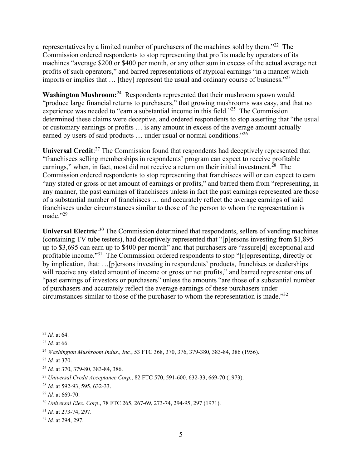representatives by a limited number of purchasers of the machines sold by them."22 The Commission ordered respondents to stop representing that profits made by operators of its machines "average \$200 or \$400 per month, or any other sum in excess of the actual average net profits of such operators," and barred representations of atypical earnings "in a manner which imports or implies that ... [they] represent the usual and ordinary course of business."<sup>23</sup>

earned by users of said products  $\dots$  under usual or normal conditions."<sup>26</sup> **Washington Mushroom:**<sup>24</sup> Respondents represented that their mushroom spawn would "produce large financial returns to purchasers," that growing mushrooms was easy, and that no experience was needed to "earn a substantial income in this field."25 The Commission determined these claims were deceptive, and ordered respondents to stop asserting that "the usual or customary earnings or profits … is any amount in excess of the average amount actually

Universal Credit:<sup>27</sup> The Commission found that respondents had deceptively represented that "franchisees selling memberships in respondents' program can expect to receive profitable earnings," when, in fact, most did not receive a return on their initial investment.<sup>28</sup> The Commission ordered respondents to stop representing that franchisees will or can expect to earn "any stated or gross or net amount of earnings or profits," and barred them from "representing, in any manner, the past earnings of franchisees unless in fact the past earnings represented are those of a substantial number of franchisees … and accurately reflect the average earnings of said franchisees under circumstances similar to those of the person to whom the representation is made."29

Universal Electric<sup>30</sup> The Commission determined that respondents, sellers of vending machines (containing TV tube testers), had deceptively represented that "[p]ersons investing from \$1,895 up to \$3,695 can earn up to \$400 per month" and that purchasers are "assure[d] exceptional and profitable income."<sup>31</sup> The Commission ordered respondents to stop "[r]epresenting, directly or by implication, that: …[p]ersons investing in respondents' products, franchises or dealerships will receive any stated amount of income or gross or net profits," and barred representations of "past earnings of investors or purchasers" unless the amounts "are those of a substantial number of purchasers and accurately reflect the average earnings of these purchasers under circumstances similar to those of the purchaser to whom the representation is made."32

<sup>22</sup>*Id.* at 64.

<sup>23</sup>*Id.* at 66.

 <sup>24</sup>*Washington Mushroom Indus., Inc.*, 53 FTC 368, 370, 376, 379-380, 383-84, 386 (1956).

<sup>25</sup>*Id.* at 370.

<sup>26</sup>*Id.* at 370, 379-80, 383-84, 386.

<sup>27</sup>*Universal Credit Acceptance Corp.*, 82 FTC 570, 591-600, 632-33, 669-70 (1973).

 <sup>28</sup>*Id.* at 592-93, 595, 632-33.

<sup>29</sup>*Id.* at 669-70.

<sup>30</sup>*Universal Elec. Corp*., 78 FTC 265, 267-69, 273-74, 294-95, 297 (1971).

 $^{31}$  *Id.* at 273-74, 297.

<sup>31</sup>*Id.* at 273-74, 297. 32 *Id.* at 294, 297.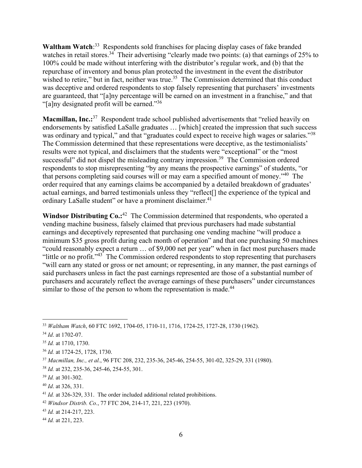"[a]ny designated profit will be earned." $36$ Waltham Watch<sup>:33</sup> Respondents sold franchises for placing display cases of fake branded watches in retail stores.<sup>34</sup> Their advertising "clearly made two points: (a) that earnings of 25% to 100% could be made without interfering with the distributor's regular work, and (b) that the repurchase of inventory and bonus plan protected the investment in the event the distributor wished to retire," but in fact, neither was true.<sup>35</sup> The Commission determined that this conduct was deceptive and ordered respondents to stop falsely representing that purchasers' investments are guaranteed, that "[a]ny percentage will be earned on an investment in a franchise," and that

was ordinary and typical," and that "graduates could expect to receive high wages or salaries."<sup>38</sup> **Macmillan, Inc.:**37 Respondent trade school published advertisements that "relied heavily on endorsements by satisfied LaSalle graduates … [which] created the impression that such success The Commission determined that these representations were deceptive, as the testimonialists' results were not typical, and disclaimers that the students were "exceptional" or the "most successful" did not dispel the misleading contrary impression.<sup>39</sup> The Commission ordered respondents to stop misrepresenting "by any means the prospective earnings" of students, "or that persons completing said courses will or may earn a specified amount of money."40 The order required that any earnings claims be accompanied by a detailed breakdown of graduates' actual earnings, and barred testimonials unless they "reflect[] the experience of the typical and ordinary LaSalle student" or have a prominent disclaimer.<sup>41</sup>

Windsor Distributing Co.:<sup>42</sup> The Commission determined that respondents, who operated a vending machine business, falsely claimed that previous purchasers had made substantial earnings and deceptively represented that purchasing one vending machine "will produce a minimum \$35 gross profit during each month of operation" and that one purchasing 50 machines "could reasonably expect a return … of \$9,000 net per year" when in fact most purchasers made "little or no profit."<sup>43</sup> The Commission ordered respondents to stop representing that purchasers "will earn any stated or gross or net amount; or representing, in any manner, the past earnings of said purchasers unless in fact the past earnings represented are those of a substantial number of purchasers and accurately reflect the average earnings of these purchasers" under circumstances similar to those of the person to whom the representation is made.<sup>44</sup>

<sup>33</sup>*Waltham Watch*, 60 FTC 1692, 1704-05, 1710-11, 1716, 1724-25, 1727-28, 1730 (1962).

<sup>34</sup>*Id*. at 1702-07.

<sup>35</sup>*Id.* at 1710, 1730.

<sup>36</sup>*Id.* at 1724-25, 1728, 1730.

<sup>37</sup>*Macmillan, Inc., et al.*, 96 FTC 208, 232, 235-36, 245-46, 254-55, 301-02, 325-29, 331 (1980).

<sup>38</sup>*Id.* at 232, 235-36, 245-46, 254-55, 301.

<sup>39</sup>*Id.* at 301-302.

<sup>40</sup>*Id*. at 326, 331.

<sup>41</sup>*Id.* at 326-329, 331. The order included additional related prohibitions.

<sup>42</sup>*Windsor Distrib. Co.*, 77 FTC 204, 214-17, 221, 223 (1970).

<sup>43</sup>*Id.* at 214-217, 223.

<sup>44</sup>*Id.* at 221, 223.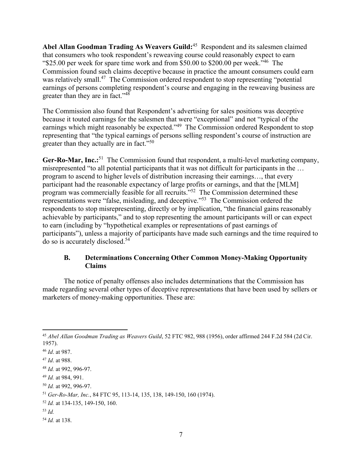**Abel Allan Goodman Trading As Weavers Guild:**45 Respondent and its salesmen claimed that consumers who took respondent's reweaving course could reasonably expect to earn "\$25.00 per week for spare time work and from \$50.00 to \$200.00 per week."46 The Commission found such claims deceptive because in practice the amount consumers could earn was relatively small.<sup>47</sup> The Commission ordered respondent to stop representing "potential" earnings of persons completing respondent's course and engaging in the reweaving business are greater than they are in fact."<sup>48</sup>

The Commission also found that Respondent's advertising for sales positions was deceptive because it touted earnings for the salesmen that were "exceptional" and not "typical of the earnings which might reasonably be expected."<sup>49</sup> The Commission ordered Respondent to stop representing that "the typical earnings of persons selling respondent's course of instruction are greater than they actually are in fact."<sup>50</sup>

Ger-Ro-Mar, Inc.<sup>51</sup> The Commission found that respondent, a multi-level marketing company, misrepresented "to all potential participants that it was not difficult for participants in the … program to ascend to higher levels of distribution increasing their earnings…, that every participant had the reasonable expectancy of large profits or earnings, and that the [MLM] program was commercially feasible for all recruits."<sup>52</sup> The Commission determined these representations were "false, misleading, and deceptive."<sup>53</sup> The Commission ordered the respondents to stop misrepresenting, directly or by implication, "the financial gains reasonably achievable by participants," and to stop representing the amount participants will or can expect to earn (including by "hypothetical examples or representations of past earnings of participants"), unless a majority of participants have made such earnings and the time required to do so is accurately [disclosed.54](https://disclosed.54) 

## **B. Determinations Concerning Other Common Money-Making Opportunity Claims**

The notice of penalty offenses also includes determinations that the Commission has made regarding several other types of deceptive representations that have been used by sellers or marketers of money-making opportunities. These are:

<sup>49</sup>*Id.* at 984, 991.

 <sup>45</sup>*Abel Allan Goodman Trading as Weavers Guild*, 52 FTC 982, 988 (1956), order affirmed 244 F.2d 584 (2d Cir. 1957).

<sup>46</sup>*Id*. at 987.

<sup>47</sup>*Id*. at 988.

<sup>48</sup>*Id.* at 992, 996-97.

<sup>50</sup>*Id.* at 992, 996-97.

<sup>51</sup>*Ger-Ro-Mar, Inc.*, 84 FTC 95, 113-14, 135, 138, 149-150, 160 (1974).

<sup>52</sup>*Id.* at 134-135, 149-150, 160.

<sup>53</sup>*Id.* 

<sup>54</sup>*Id.* at 138.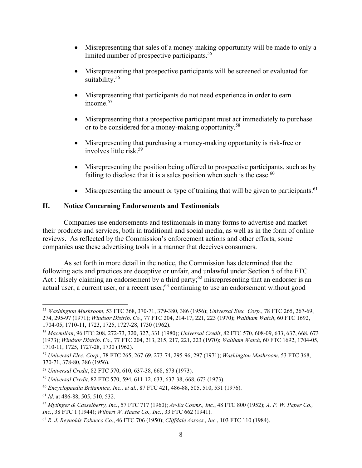- Misrepresenting that sales of a money-making opportunity will be made to only a limited number of prospective participants.<sup>55</sup>
- Misrepresenting that prospective participants will be screened or evaluated for suitability.<sup>56</sup>
- Misrepresenting that participants do not need experience in order to earn [income.57](https://income.57)
- Misrepresenting that a prospective participant must act immediately to purchase or to be considered for a money-making opportunity.<sup>58</sup>
- Misrepresenting that purchasing a money-making opportunity is risk-free or involves little risk.59
- Misrepresenting the position being offered to prospective participants, such as by failing to disclose that it is a sales position when such is the case. $60$
- $\bullet$  Misrepresenting the amount or type of training that will be given to participants.<sup>61</sup>

### **II. Notice Concerning Endorsements and Testimonials**

Companies use endorsements and testimonials in many forms to advertise and market their products and services, both in traditional and social media, as well as in the form of online reviews. As reflected by the Commission's enforcement actions and other efforts, some companies use these advertising tools in a manner that deceives consumers.

As set forth in more detail in the notice, the Commission has determined that the following acts and practices are deceptive or unfair, and unlawful under Section 5 of the FTC Act : falsely claiming an endorsement by a third party;<sup>62</sup> misrepresenting that an endorser is an actual user, a current user, or a recent user; $^{63}$  continuing to use an endorsement without good

<sup>55</sup>*Washington Mushroom*, 53 FTC 368, 370-71, 379-380, 386 (1956); *Universal Elec. Corp.*, 78 FTC 265, 267-69, 274, 295-97 (1971); *Windsor Distrib*. *Co.*, 77 FTC 204, 214-17, 221, 223 (1970); *Waltham Watch*, 60 FTC 1692, 1704-05, 1710-11, 1723, 1725, 1727-28, 1730 (1962).

 <sup>56</sup>*Macmillan*, 96 FTC 208, 272-73, 320, 327, 331 (1980); *Universal Credit*, 82 FTC 570, 608-09, 633, 637, 668, 673 (1973); *Windsor Distrib*. *Co.*, 77 FTC 204, 213, 215, 217, 221, 223 (1970); *Waltham Watch*, 60 FTC 1692, 1704-05, 1710-11, 1725, 1727-28, 1730 (1962).

<sup>57</sup>*Universal Elec. Corp.*, 78 FTC 265, 267-69, 273-74, 295-96, 297 (1971); *Washington Mushroom*, 53 FTC 368, 370-71, 378-80, 386 (1956).

<sup>58</sup>*Universal Credit*, 82 FTC 570, 610, 637-38, 668, 673 (1973).

<sup>59</sup>*Universal Credit*, 82 FTC 570, 594, 611-12, 633, 637-38, 668, 673 (1973).

<sup>60</sup>*Encyclopaedia Britannica, Inc., et al.*, 87 FTC 421, 486-88, 505, 510, 531 (1976).

<sup>61</sup>*Id*. at 486-88, 505, 510, 532.

<sup>62</sup>*Mytinger & Casselberry, Inc.*, 57 FTC 717 (1960); *Ar-Ex Cosms., Inc.*, 48 FTC 800 (1952); *A. P. W. Paper Co., Inc.*, 38 FTC 1 (1944); *Wilbert W. Haase Co., Inc.*, 33 FTC 662 (1941).

<sup>63</sup>*R. J. Reynolds Tobacco Co.*, 46 FTC 706 (1950); *Cliffdale Assocs., Inc.*, 103 FTC 110 (1984).